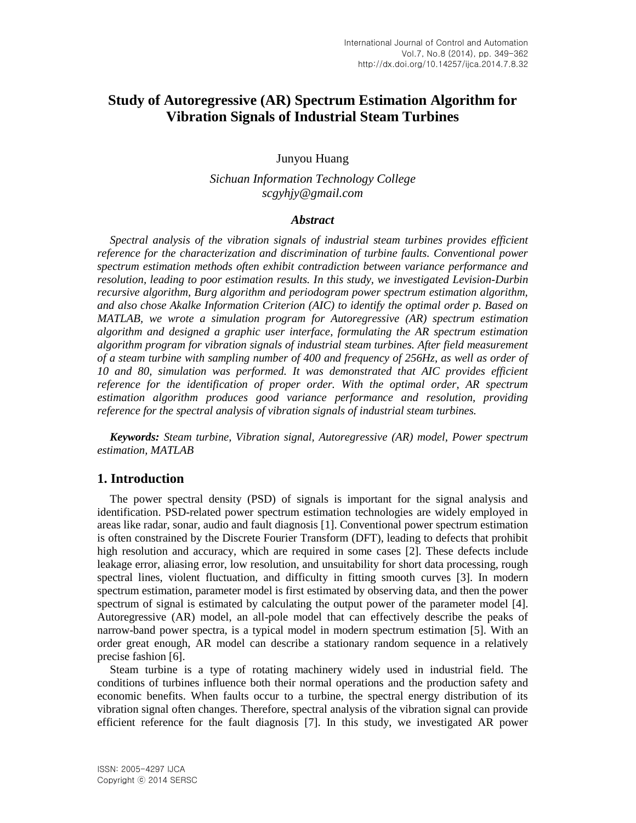# **Study of Autoregressive (AR) Spectrum Estimation Algorithm for Vibration Signals of Industrial Steam Turbines**

Junyou Huang

*Sichuan Information Technology College scgyhjy@gmail.com*

#### *Abstract*

*Spectral analysis of the vibration signals of industrial steam turbines provides efficient reference for the characterization and discrimination of turbine faults. Conventional power spectrum estimation methods often exhibit contradiction between variance performance and resolution, leading to poor estimation results. In this study, we investigated Levision-Durbin recursive algorithm, Burg algorithm and periodogram power spectrum estimation algorithm, and also chose Akalke Information Criterion (AIC) to identify the optimal order p. Based on MATLAB, we wrote a simulation program for Autoregressive (AR) spectrum estimation algorithm and designed a graphic user interface, formulating the AR spectrum estimation algorithm program for vibration signals of industrial steam turbines. After field measurement of a steam turbine with sampling number of 400 and frequency of 256Hz, as well as order of*  10 and 80, simulation was performed. It was demonstrated that AIC provides efficient *reference for the identification of proper order. With the optimal order, AR spectrum estimation algorithm produces good variance performance and resolution, providing reference for the spectral analysis of vibration signals of industrial steam turbines.*

*Keywords: Steam turbine, Vibration signal, Autoregressive (AR) model, Power spectrum estimation, MATLAB*

## **1. Introduction**

The power spectral density (PSD) of signals is important for the signal analysis and identification. PSD-related power spectrum estimation technologies are widely employed in areas like radar, sonar, audio and fault diagnosis [1]. Conventional power spectrum estimation is often constrained by the Discrete Fourier Transform (DFT), leading to defects that prohibit high resolution and accuracy, which are required in some cases [2]. These defects include leakage error, aliasing error, low resolution, and unsuitability for short data processing, rough spectral lines, violent fluctuation, and difficulty in fitting smooth curves [3]. In modern spectrum estimation, parameter model is first estimated by observing data, and then the power spectrum of signal is estimated by calculating the output power of the parameter model [4]. Autoregressive (AR) model, an all-pole model that can effectively describe the peaks of narrow-band power spectra, is a typical model in modern spectrum estimation [5]. With an order great enough, AR model can describe a stationary random sequence in a relatively precise fashion [6].

Steam turbine is a type of rotating machinery widely used in industrial field. The conditions of turbines influence both their normal operations and the production safety and economic benefits. When faults occur to a turbine, the spectral energy distribution of its vibration signal often changes. Therefore, spectral analysis of the vibration signal can provide efficient reference for the fault diagnosis [7]. In this study, we investigated AR power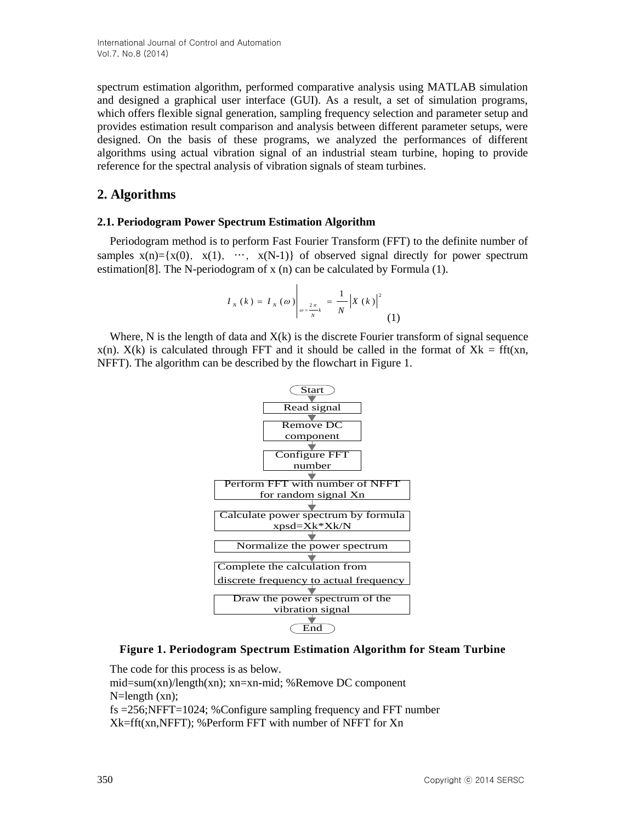spectrum estimation algorithm, performed comparative analysis using MATLAB simulation and designed a graphical user interface (GUI). As a result, a set of simulation programs, which offers flexible signal generation, sampling frequency selection and parameter setup and provides estimation result comparison and analysis between different parameter setups, were designed. On the basis of these programs, we analyzed the performances of different algorithms using actual vibration signal of an industrial steam turbine, hoping to provide reference for the spectral analysis of vibration signals of steam turbines.

## **2. Algorithms**

#### **2.1. Periodogram Power Spectrum Estimation Algorithm**

Periodogram method is to perform Fast Fourier Transform (FFT) to the definite number of samples  $x(n)=\{x(0), x(1), \cdots, x(N-1)\}$  of observed signal directly for power spectrum estimation[8]. The N-periodogram of x (n) can be calculated by Formula (1).

$$
I_{N}(k) = I_{N}(\omega)\Big|_{\omega = \frac{2\pi}{N}k} = \frac{1}{N} |X(k)|^{2}
$$
 (1)

Where, N is the length of data and  $X(k)$  is the discrete Fourier transform of signal sequence  $x(n)$ .  $X(k)$  is calculated through FFT and it should be called in the format of  $Xk = fft(xn)$ , NFFT). The algorithm can be described by the flowchart in Figure 1.



## **Figure 1. Periodogram Spectrum Estimation Algorithm for Steam Turbine**

The code for this process is as below.

mid=sum(xn)/length(xn); xn=xn-mid; %Remove DC component N=length (xn);

fs =256;NFFT=1024; %Configure sampling frequency and FFT number Xk=fft(xn,NFFT); %Perform FFT with number of NFFT for Xn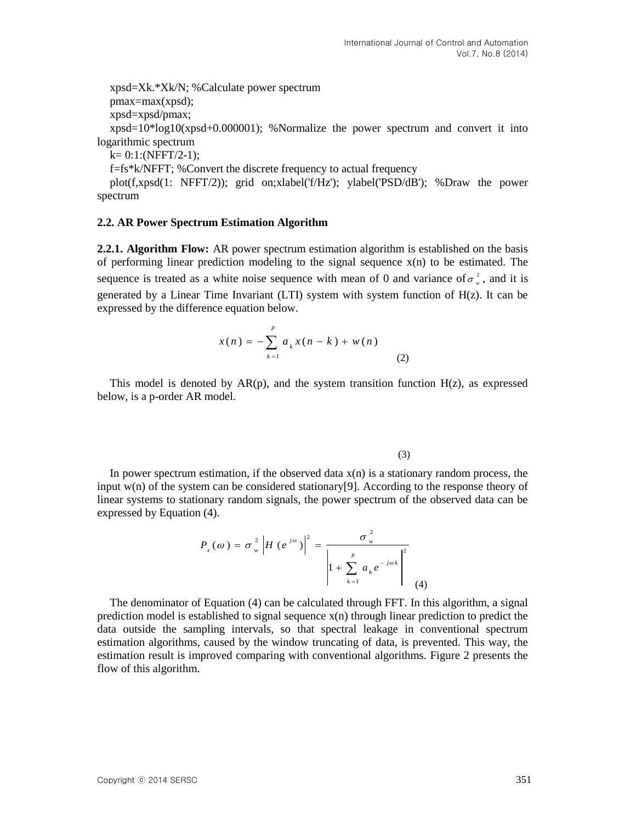xpsd=Xk.\*Xk/N; %Calculate power spectrum pmax=max(xpsd); xpsd=xpsd/pmax;  $xpsd=10*log10(xpsd+0.000001);$  %Normalize the power spectrum and convert it into logarithmic spectrum  $k= 0:1:(NFFT/2-1);$ f=fs\*k/NFFT; %Convert the discrete frequency to actual frequency

plot(f,xpsd(1: NFFT/2)); grid on;xlabel('f/Hz'); ylabel('PSD/dB'); %Draw the power spectrum

#### **2.2. AR Power Spectrum Estimation Algorithm**

**2.2.1. Algorithm Flow:** AR power spectrum estimation algorithm is established on the basis of performing linear prediction modeling to the signal sequence  $x(n)$  to be estimated. The sequence is treated as a white noise sequence with mean of 0 and variance of  $\sigma_{\perp}^2$  $\sigma_w^2$ , and it is generated by a Linear Time Invariant (LTI) system with system function of H(z). It can be expressed by the difference equation below.

$$
x(n) = -\sum_{k=1}^{p} a_k x(n-k) + w(n)
$$
 (2)

This model is denoted by  $AR(p)$ , and the system transition function  $H(z)$ , as expressed below, is a p-order AR model.

(3)

In power spectrum estimation, if the observed data  $x(n)$  is a stationary random process, the input  $w(n)$  of the system can be considered stationary[9]. According to the response theory of linear systems to stationary random signals, the power spectrum of the observed data can be expressed by Equation (4).

$$
P_x(\omega) = \sigma_w^2 |H(e^{j\omega})|^2 = \frac{\sigma_w^2}{\left|1 + \sum_{k=1}^p a_k e^{-j\omega k}\right|^2}
$$
(4)

m process, the<br>onse theory of<br>ed data can be<br>rithm, a signal<br>to predict the<br>pnal spectrum<br>This way, the<br>2 presents the<br>351 <sup>(3)</sup><br>
<sup>(3)</sup><br> *H* the observed data x(n) is a stationary pandom process, the nsidered stationary [9]. According to the response theory of n signals, the power spectrum of the observed data can be  $\left|H(e^{j\omega})\right|^2 = \frac{\sigma_w^2}{\$ The denominator of Equation (4) can be calculated through FFT. In this algorithm, a signal prediction model is established to signal sequence  $x(n)$  through linear prediction to predict the data outside the sampling intervals, so that spectral leakage in conventional spectrum estimation algorithms, caused by the window truncating of data, is prevented. This way, the estimation result is improved comparing with conventional algorithms. Figure 2 presents the flow of this algorithm.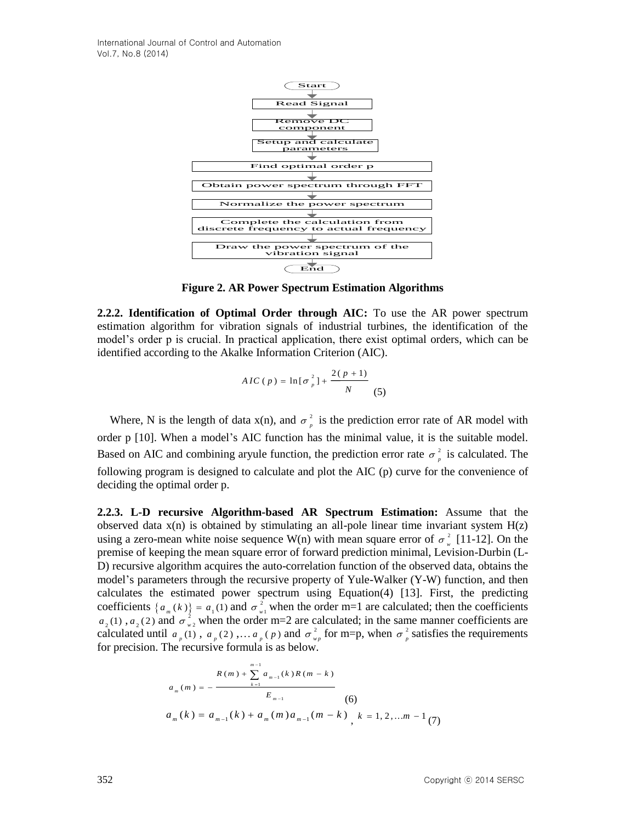

**Figure 2. AR Power Spectrum Estimation Algorithms**

**2.2.2. Identification of Optimal Order through AIC:** To use the AR power spectrum estimation algorithm for vibration signals of industrial turbines, the identification of the model's order p is crucial. In practical application, there exist optimal orders, which can be identified according to the Akalke Information Criterion (AIC).

$$
AIC(p) = \ln[\sigma_p^2] + \frac{2(p+1)}{N}
$$
 (5)

Where, N is the length of data  $x(n)$ , and  $\sigma^2$  $\sigma_p^2$  is the prediction error rate of AR model with order p [10]. When a model's AIC function has the minimal value, it is the suitable model. Based on AIC and combining aryule function, the prediction error rate  $\sigma^2$  $\sigma_p^2$  is calculated. The following program is designed to calculate and plot the AIC (p) curve for the convenience of deciding the optimal order p.

**2.2.3. L-D recursive Algorithm-based AR Spectrum Estimation:** Assume that the observed data  $x(n)$  is obtained by stimulating an all-pole linear time invariant system  $H(z)$ using a zero-mean white noise sequence W(n) with mean square error of  $\sigma^2$  $\sigma_w^2$  [11-12]. On the premise of keeping the mean square error of forward prediction minimal, Levision-Durbin (L-D) recursive algorithm acquires the auto-correlation function of the observed data, obtains the model's parameters through the recursive property of Yule-Walker (Y-W) function, and then calculates the estimated power spectrum using Equation(4) [13]. First, the predicting coefficients  $\{a_m(k)\}=a_1(1)$  and  $\sigma_w^2$  $\sigma_{w1}^2$  when the order m=1 are calculated; then the coefficients  $a_2(1)$ ,  $a_2(2)$  and  $\sigma_w^2$  $\sigma_{w_2}^2$  when the order m=2 are calculated; in the same manner coefficients are calculated until  $a_p(1)$ ,  $a_p(2)$ , ...  $a_p(p)$  and  $\sigma_w^2$  $\sigma_{wp}^2$  for m=p, when  $\sigma_{p}^2$  $\sigma_p^2$  satisfies the requirements for precision. The recursive formula is as below.

$$
a_{m}(m) = -\frac{R(m) + \sum_{k=1}^{m-1} a_{m-1}(k)R(m-k)}{E_{m-1}}
$$
  
(6)  

$$
a_{m}(k) = a_{m-1}(k) + a_{m}(m)a_{m-1}(m-k) , k = 1, 2, ...m - 1 (7)
$$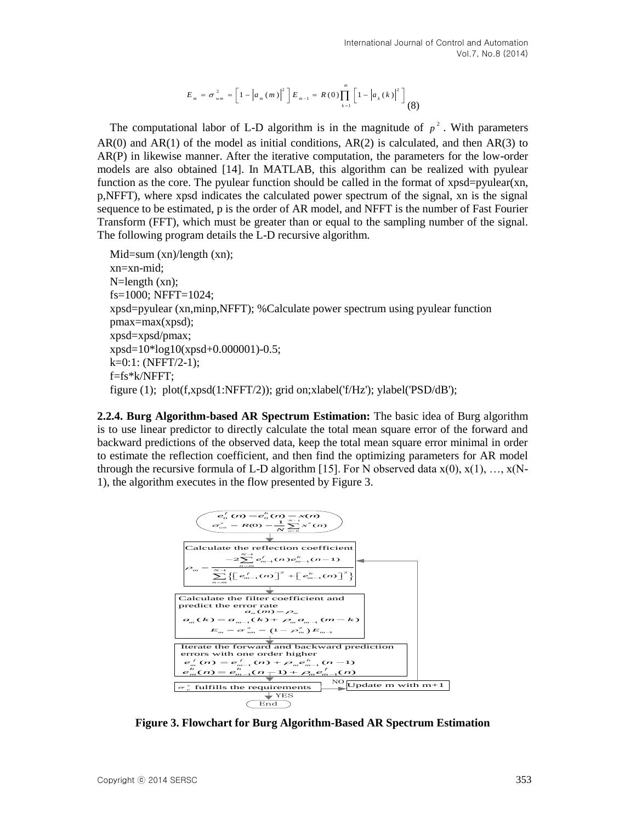$$
E_{m} = \sigma_{wm}^{2} = \left[1 - \left|a_{m}(m)\right|^{2}\right]E_{m-1} = R(0)\prod_{k=1}^{m} \left[1 - \left|a_{k}(k)\right|^{2}\right] \tag{8}
$$

The computational labor of L-D algorithm is in the magnitude of  $p^2$ . With parameters  $AR(0)$  and  $AR(1)$  of the model as initial conditions,  $AR(2)$  is calculated, and then  $AR(3)$  to AR(P) in likewise manner. After the iterative computation, the parameters for the low-order models are also obtained [14]. In MATLAB, this algorithm can be realized with pyulear function as the core. The pyulear function should be called in the format of xpsd=pyulear(xn, p,NFFT), where xpsd indicates the calculated power spectrum of the signal, xn is the signal sequence to be estimated, p is the order of AR model, and NFFT is the number of Fast Fourier Transform (FFT), which must be greater than or equal to the sampling number of the signal. The following program details the L-D recursive algorithm.

 $Mid=sum (xn)/length (xn);$ xn=xn-mid; N=length (xn); fs=1000; NFFT=1024; xpsd=pyulear (xn,minp,NFFT); %Calculate power spectrum using pyulear function pmax=max(xpsd); xpsd=xpsd/pmax; xpsd=10\*log10(xpsd+0.000001)-0.5;  $k=0:1: (NFFT/2-1);$ f=fs\*k/NFFT; figure (1); plot(f,xpsd(1:NFFT/2)); grid on;xlabel('f/Hz'); ylabel('PSD/dB');

**2.2.4. Burg Algorithm-based AR Spectrum Estimation:** The basic idea of Burg algorithm is to use linear predictor to directly calculate the total mean square error of the forward and backward predictions of the observed data, keep the total mean square error minimal in order to estimate the reflection coefficient, and then find the optimizing parameters for AR model through the recursive formula of L-D algorithm [15]. For N observed data  $x(0)$ ,  $x(1)$ , ...,  $x(N-$ 1), the algorithm executes in the flow presented by Figure 3.



**Figure 3. Flowchart for Burg Algorithm-Based AR Spectrum Estimation**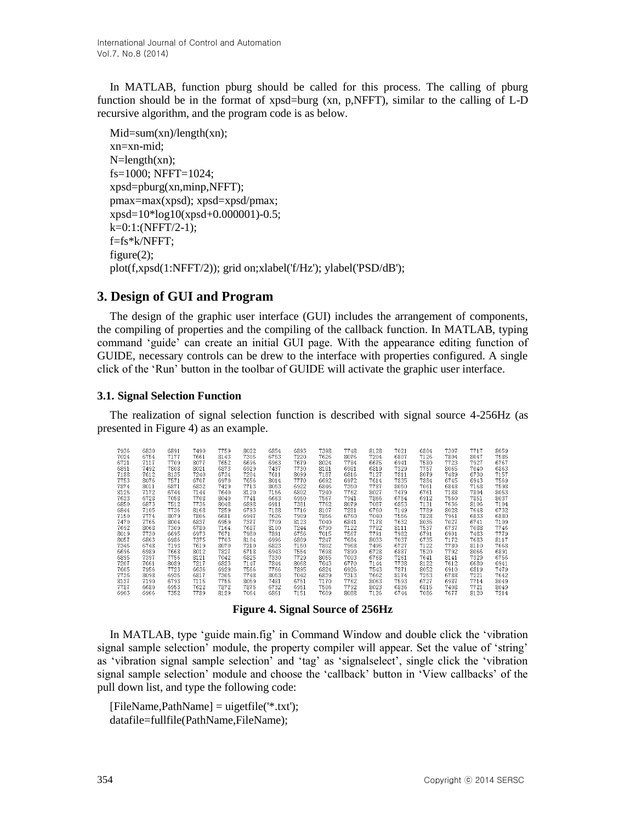In MATLAB, function pburg should be called for this process. The calling of pburg function should be in the format of xpsd=burg (xn, p,NFFT), similar to the calling of L-D recursive algorithm, and the program code is as below.

 $Mid=sum(xn)/length(xn);$ xn=xn-mid;  $N=\text{length}(xn);$ fs=1000; NFFT=1024; xpsd=pburg(xn,minp,NFFT); pmax=max(xpsd); xpsd=xpsd/pmax; xpsd=10\*log10(xpsd+0.000001)-0.5;  $k=0:1:(NFFT/2-1);$ f=fs\*k/NFFT; figure $(2)$ ; plot(f,xpsd(1:NFFT/2)); grid on;xlabel('f/Hz'); ylabel('PSD/dB');

## **3. Design of GUI and Program**

The design of the graphic user interface (GUI) includes the arrangement of components, the compiling of properties and the compiling of the callback function. In MATLAB, typing command 'guide' can create an initial GUI page. With the appearance editing function of GUIDE, necessary controls can be drew to the interface with properties configured. A single click of the 'Run' button in the toolbar of GUIDE will activate the graphic user interface.

## **3.1. Signal Selection Function**

The realization of signal selection function is described with signal source 4-256Hz (as presented in Figure 4) as an example.

| 7177<br>7305<br>7024<br>6754<br>7661<br>6753<br>7220<br>7626<br>8076<br>7204<br>6807<br>7126<br>7804<br>8143<br>8047<br>7117<br>7652<br>6963<br>7679<br>6675<br>7723<br>7927<br>6721<br>7709<br>8077<br>6696<br>8024<br>7784<br>7580<br>6941<br>7492<br>7808<br>6873<br>6929<br>7437<br>7730<br>8181<br>6819<br>7329<br>7757<br>6891<br>8021<br>8065<br>7040<br>6981<br>8135<br>7187<br>7188<br>7612<br>7240<br>6734<br>7204<br>7611<br>7127<br>7489<br>8099<br>6816<br>7811<br>8079<br>6730<br>7614<br>7835<br>7753<br>8076<br>7571<br>6707<br>7656<br>8014<br>7770<br>6972<br>7884<br>6745<br>6970<br>6692<br>6943 | 7585<br>6767<br>6863<br>7157<br>7569<br>7598<br>7168<br>8053 |
|----------------------------------------------------------------------------------------------------------------------------------------------------------------------------------------------------------------------------------------------------------------------------------------------------------------------------------------------------------------------------------------------------------------------------------------------------------------------------------------------------------------------------------------------------------------------------------------------------------------------|--------------------------------------------------------------|
|                                                                                                                                                                                                                                                                                                                                                                                                                                                                                                                                                                                                                      |                                                              |
|                                                                                                                                                                                                                                                                                                                                                                                                                                                                                                                                                                                                                      |                                                              |
|                                                                                                                                                                                                                                                                                                                                                                                                                                                                                                                                                                                                                      |                                                              |
|                                                                                                                                                                                                                                                                                                                                                                                                                                                                                                                                                                                                                      |                                                              |
|                                                                                                                                                                                                                                                                                                                                                                                                                                                                                                                                                                                                                      |                                                              |
| 8053<br>7787<br>7874<br>8011<br>6871<br>6832<br>7429<br>7713<br>6922<br>6846<br>7350<br>8050<br>7061<br>6848                                                                                                                                                                                                                                                                                                                                                                                                                                                                                                         |                                                              |
| 8125<br>7172<br>6744<br>7156<br>6802<br>7240<br>7479<br>7188<br>7144<br>7640<br>8120<br>7762<br>8027<br>6761<br>7804                                                                                                                                                                                                                                                                                                                                                                                                                                                                                                 |                                                              |
| 7633<br>7708<br>7567<br>7866<br>6728<br>7058<br>7741<br>6663<br>6754<br>6912<br>7560<br>7851<br>6950<br>7941<br>8040                                                                                                                                                                                                                                                                                                                                                                                                                                                                                                 | 8037                                                         |
| 6873<br>7512<br>7736<br>7381<br>7762<br>7087<br>6853<br>7131<br>7636<br>6850<br>6898<br>6911<br>8079<br>8106<br>8048                                                                                                                                                                                                                                                                                                                                                                                                                                                                                                 | 7104                                                         |
| 7736<br>8168<br>6760<br>6844<br>7105<br>7259<br>6793<br>7188<br>7716<br>8107<br>7281<br>7149<br>7789<br>8028<br>7648                                                                                                                                                                                                                                                                                                                                                                                                                                                                                                 | 6732                                                         |
| 8079<br>7626<br>7556<br>7150<br>7774<br>7806<br>6681<br>7856<br>6760<br>7828<br>7961<br>6833<br>6947<br>7909<br>7040                                                                                                                                                                                                                                                                                                                                                                                                                                                                                                 | 6880                                                         |
| 7470<br>7765<br>6837<br>7377<br>7709<br>8123<br>7178<br>7632<br>7027<br>8004<br>7040<br>8035<br>6741<br>6959<br>6841                                                                                                                                                                                                                                                                                                                                                                                                                                                                                                 | 7109                                                         |
| 7782<br>7692<br>7309<br>6780<br>7687<br>7244<br>6790<br>7122<br>8111<br>7537<br>6737<br>7088<br>8068<br>7164<br>8100                                                                                                                                                                                                                                                                                                                                                                                                                                                                                                 | 7746                                                         |
| 7730<br>6973<br>7891<br>7791<br>7982<br>7483<br>8019<br>6695<br>7671<br>7980<br>6756<br>7015<br>7567<br>6791<br>6901                                                                                                                                                                                                                                                                                                                                                                                                                                                                                                 | 7779                                                         |
| 8057<br>7375<br>7172<br>6863<br>6986<br>7703<br>6996<br>6809<br>7247<br>7684<br>8033<br>7037<br>6735<br>7683<br>8104                                                                                                                                                                                                                                                                                                                                                                                                                                                                                                 | 8117                                                         |
| 6727<br>7780<br>7345<br>6748<br>7193<br>7619<br>7210<br>6823<br>7150<br>7802<br>7968<br>7495<br>7122<br>8070<br>8110                                                                                                                                                                                                                                                                                                                                                                                                                                                                                                 | 7668                                                         |
| 6728<br>7668<br>7827<br>6718<br>6887<br>7520<br>7792<br>6696<br>6989<br>8012<br>6943<br>7554<br>7698<br>7890<br>8066                                                                                                                                                                                                                                                                                                                                                                                                                                                                                                 | 6891                                                         |
| 7397<br>7756<br>8121<br>7330<br>6768<br>7329<br>6895<br>6825<br>7729<br>8055<br>7003<br>7261<br>7641<br>8141<br>7042                                                                                                                                                                                                                                                                                                                                                                                                                                                                                                 | 6756                                                         |
| 7217<br>7612<br>7207<br>7661<br>8089<br>6823<br>7147<br>7844<br>8068<br>7643<br>6770<br>7144<br>7738<br>8122<br>6680                                                                                                                                                                                                                                                                                                                                                                                                                                                                                                 | 6941                                                         |
| 7723<br>6636<br>7543<br>7605<br>7956<br>6929<br>7566<br>7766<br>7895<br>6824<br>6926<br>7871<br>8052<br>6910<br>6819                                                                                                                                                                                                                                                                                                                                                                                                                                                                                                 | 7479                                                         |
| 7735<br>8098<br>6935<br>6817<br>7305<br>7748<br>8053<br>6839<br>7313<br>7662<br>8174<br>7253<br>6788<br>7221<br>7042                                                                                                                                                                                                                                                                                                                                                                                                                                                                                                 | 7642                                                         |
| 8137<br>7190<br>6793<br>7115<br>7755<br>8059<br>7481<br>6751<br>7170<br>7762<br>8063<br>7593<br>6727<br>6987<br>7714                                                                                                                                                                                                                                                                                                                                                                                                                                                                                                 | 8049                                                         |
| 7622<br>7872<br>7875<br>6732<br>7506<br>7787<br>6953<br>6951<br>7792<br>8023<br>6836<br>6815<br>7408<br>7721<br>6680                                                                                                                                                                                                                                                                                                                                                                                                                                                                                                 | 8049                                                         |
| 7789<br>7677<br>7352<br>8129<br>6861<br>7609<br>7126<br>6744<br>8120<br>6903<br>6966<br>7064<br>7151<br>8088<br>7086                                                                                                                                                                                                                                                                                                                                                                                                                                                                                                 | 7214                                                         |

## **Figure 4. Signal Source of 256Hz**

In MATLAB, type 'guide main.fig' in Command Window and double click the 'vibration signal sample selection' module, the property compiler will appear. Set the value of 'string' as 'vibration signal sample selection' and 'tag' as 'signalselect', single click the 'vibration signal sample selection' module and choose the 'callback' button in 'View callbacks' of the pull down list, and type the following code:

 $[FileName, PathName] = uigetfile("x.txt");$ datafile=fullfile(PathName,FileName);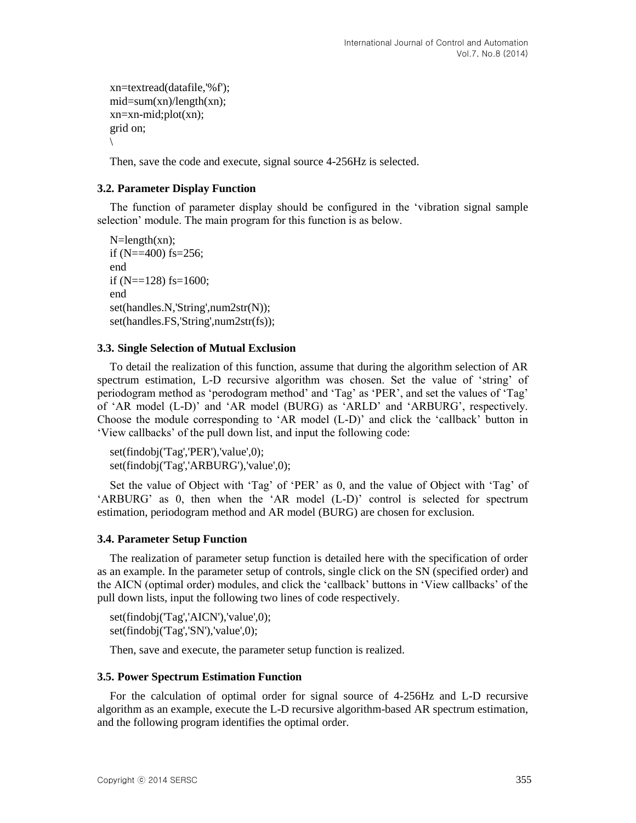```
xn=textread(datafile,'%f'); 
mid = sum(xn)/length(xn);xn=xn-mid;plot(xn);
grid on;
\backslash
```
Then, save the code and execute, signal source 4-256Hz is selected.

### **3.2. Parameter Display Function**

The function of parameter display should be configured in the 'vibration signal sample selection' module. The main program for this function is as below.

```
N = length(xn);if (N = 400) fs=256;
end
if (N=128) fs=1600;
end
set(handles.N,'String',num2str(N));
set(handles.FS,'String',num2str(fs));
```
#### **3.3. Single Selection of Mutual Exclusion**

To detail the realization of this function, assume that during the algorithm selection of AR spectrum estimation, L-D recursive algorithm was chosen. Set the value of 'string' of periodogram method as 'perodogram method' and 'Tag' as 'PER', and set the values of 'Tag' of 'AR model (L-D)' and 'AR model (BURG) as 'ARLD' and 'ARBURG', respectively. Choose the module corresponding to 'AR model (L-D)' and click the 'callback' button in 'View callbacks' of the pull down list, and input the following code:

set(findobj('Tag','PER'),'value',0); set(findobj('Tag','ARBURG'),'value',0);

Set the value of Object with 'Tag' of 'PER' as 0, and the value of Object with 'Tag' of 'ARBURG' as 0, then when the 'AR model (L-D)' control is selected for spectrum estimation, periodogram method and AR model (BURG) are chosen for exclusion.

#### **3.4. Parameter Setup Function**

The realization of parameter setup function is detailed here with the specification of order as an example. In the parameter setup of controls, single click on the SN (specified order) and the AICN (optimal order) modules, and click the 'callback' buttons in 'View callbacks' of the pull down lists, input the following two lines of code respectively.

set(findobj('Tag','AICN'),'value',0); set(findobj('Tag','SN'),'value',0);

Then, save and execute, the parameter setup function is realized.

#### **3.5. Power Spectrum Estimation Function**

For the calculation of optimal order for signal source of 4-256Hz and L-D recursive algorithm as an example, execute the L-D recursive algorithm-based AR spectrum estimation, and the following program identifies the optimal order.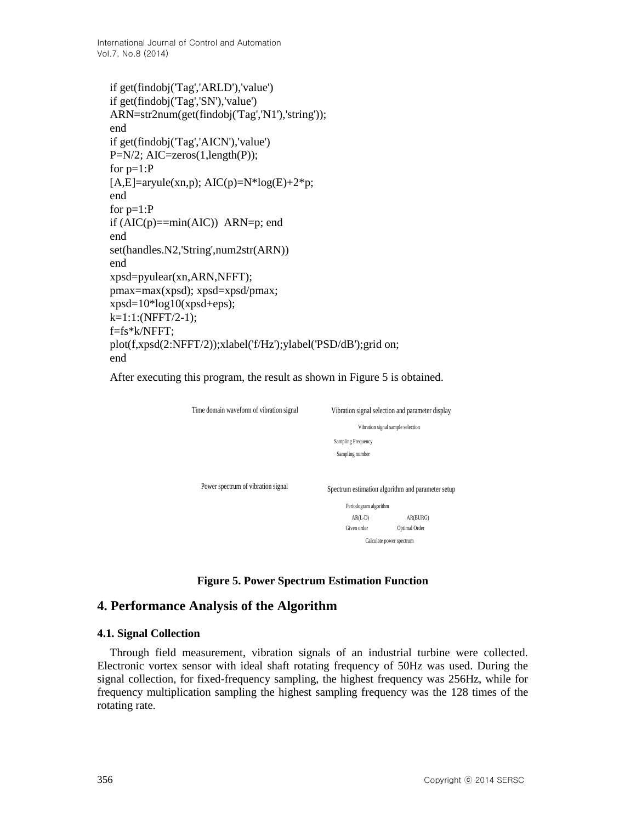International Journal of Control and Automation Vol.7, No.8 (2014)

```
if get(findobj('Tag','ARLD'),'value')
if get(findobj('Tag','SN'),'value')
ARN=str2num(get(findobj('Tag','N1'),'string'));
end
if get(findobj('Tag','AICN'),'value')
P=N/2; AIC=zeros(1,length(P));
for p=1:P
[A,E]=aryule(xn,p); AIC(p)=N*log(E)+2*p;
end
for p=1:P
if (AIC(p)=min(AIC)) ARN=p; end
end
set(handles.N2,'String',num2str(ARN))
end
xpsd=pyulear(xn,ARN,NFFT);
pmax=max(xpsd); xpsd=xpsd/pmax;
xpsd=10*log10(xpsd+eps);k=1:1:(NFFT/2-1);f=fs*k/NFFT;
plot(f,xpsd(2:NFFT/2));xlabel('f/Hz');ylabel('PSD/dB');grid on;
end
```
After executing this program, the result as shown in Figure 5 is obtained.

| Time domain waveform of vibration signal | Vibration signal selection and parameter display |                                                   |  |
|------------------------------------------|--------------------------------------------------|---------------------------------------------------|--|
|                                          | Vibration signal sample selection                |                                                   |  |
|                                          | <b>Sampling Frequency</b>                        |                                                   |  |
|                                          | Sampling number                                  |                                                   |  |
| Power spectrum of vibration signal       |                                                  | Spectrum estimation algorithm and parameter setup |  |
|                                          | Periodogram algorithm                            |                                                   |  |
|                                          | $AR(L-D)$                                        | AR(BURG)                                          |  |
|                                          | Given order                                      | Optimal Order                                     |  |
|                                          |                                                  | Calculate power spectrum                          |  |

**Figure 5. Power Spectrum Estimation Function**

## **4. Performance Analysis of the Algorithm**

#### **4.1. Signal Collection**

Through field measurement, vibration signals of an industrial turbine were collected. Electronic vortex sensor with ideal shaft rotating frequency of 50Hz was used. During the signal collection, for fixed-frequency sampling, the highest frequency was 256Hz, while for frequency multiplication sampling the highest sampling frequency was the 128 times of the rotating rate.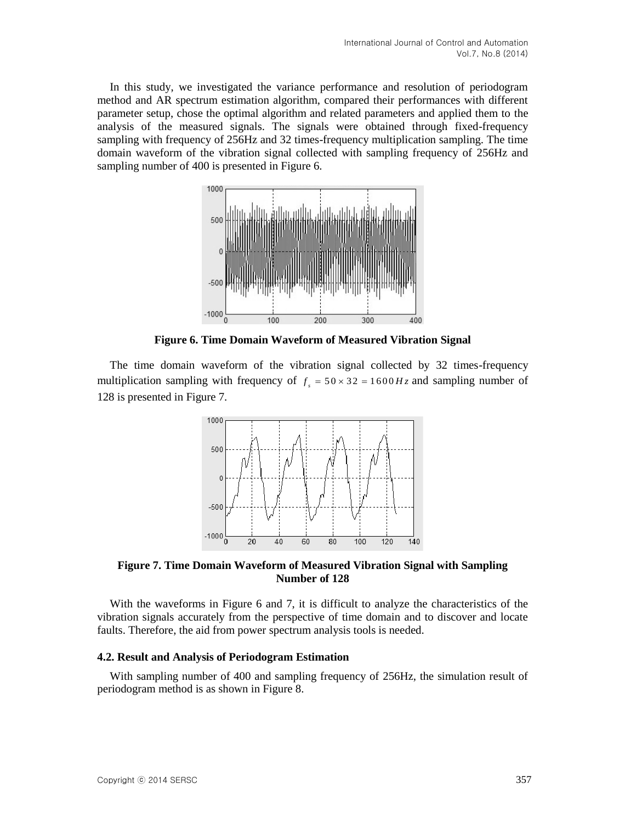In this study, we investigated the variance performance and resolution of periodogram method and AR spectrum estimation algorithm, compared their performances with different parameter setup, chose the optimal algorithm and related parameters and applied them to the analysis of the measured signals. The signals were obtained through fixed-frequency sampling with frequency of 256Hz and 32 times-frequency multiplication sampling. The time domain waveform of the vibration signal collected with sampling frequency of 256Hz and sampling number of 400 is presented in Figure 6.



**Figure 6. Time Domain Waveform of Measured Vibration Signal**

The time domain waveform of the vibration signal collected by 32 times-frequency multiplication sampling with frequency of  $f<sub>s</sub> = 50 \times 32 = 1600 Hz$  and sampling number of 128 is presented in Figure 7.



**Figure 7. Time Domain Waveform of Measured Vibration Signal with Sampling Number of 128**

With the waveforms in Figure 6 and 7, it is difficult to analyze the characteristics of the vibration signals accurately from the perspective of time domain and to discover and locate faults. Therefore, the aid from power spectrum analysis tools is needed.

### **4.2. Result and Analysis of Periodogram Estimation**

With sampling number of 400 and sampling frequency of 256Hz, the simulation result of periodogram method is as shown in Figure 8.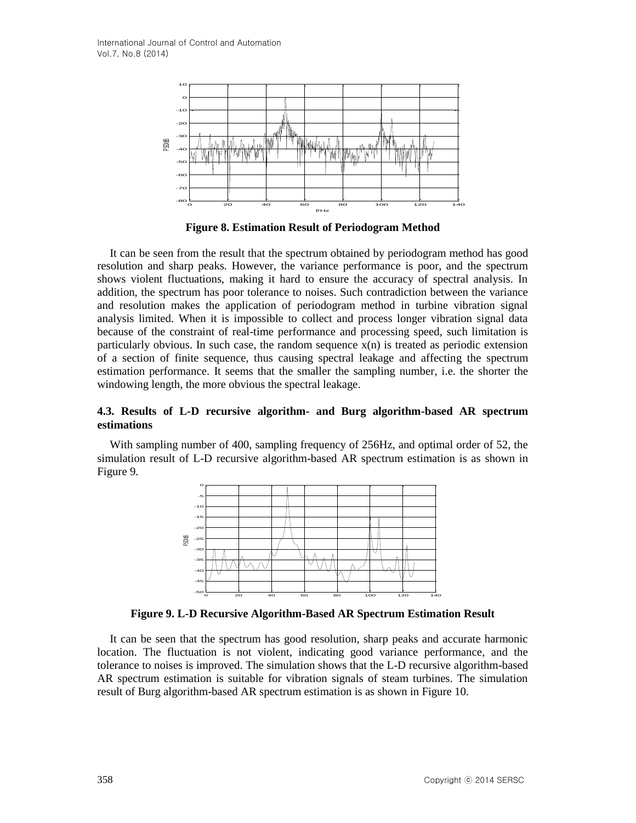

**Figure 8. Estimation Result of Periodogram Method**

It can be seen from the result that the spectrum obtained by periodogram method has good resolution and sharp peaks. However, the variance performance is poor, and the spectrum shows violent fluctuations, making it hard to ensure the accuracy of spectral analysis. In addition, the spectrum has poor tolerance to noises. Such contradiction between the variance and resolution makes the application of periodogram method in turbine vibration signal analysis limited. When it is impossible to collect and process longer vibration signal data because of the constraint of real-time performance and processing speed, such limitation is particularly obvious. In such case, the random sequence  $x(n)$  is treated as periodic extension of a section of finite sequence, thus causing spectral leakage and affecting the spectrum estimation performance. It seems that the smaller the sampling number, i.e. the shorter the windowing length, the more obvious the spectral leakage.

## **4.3. Results of L-D recursive algorithm- and Burg algorithm-based AR spectrum estimations**

With sampling number of 400, sampling frequency of 256Hz, and optimal order of 52, the simulation result of L-D recursive algorithm-based AR spectrum estimation is as shown in Figure 9.



**Figure 9. L-D Recursive Algorithm-Based AR Spectrum Estimation Result**

It can be seen that the spectrum has good resolution, sharp peaks and accurate harmonic location. The fluctuation is not violent, indicating good variance performance, and the tolerance to noises is improved. The simulation shows that the L-D recursive algorithm-based AR spectrum estimation is suitable for vibration signals of steam turbines. The simulation result of Burg algorithm-based AR spectrum estimation is as shown in Figure 10.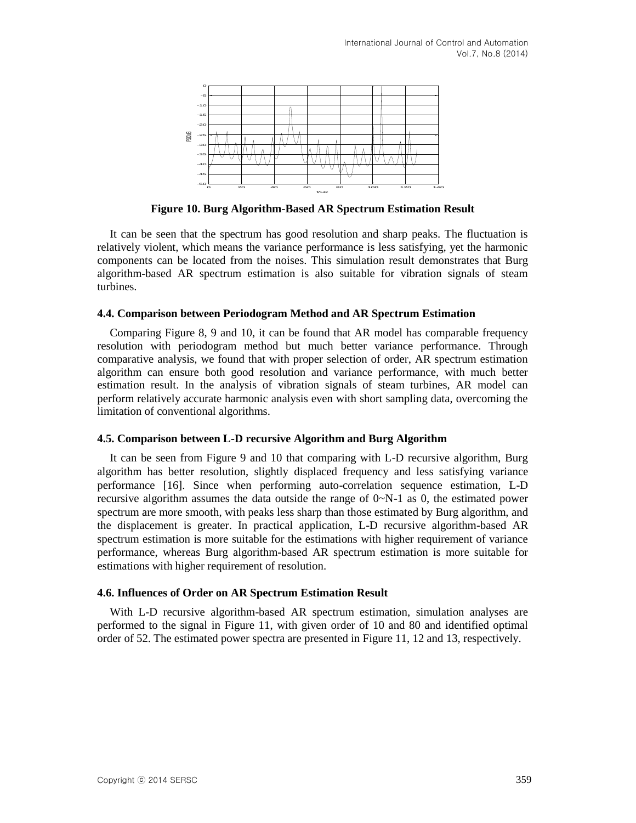

**Figure 10. Burg Algorithm-Based AR Spectrum Estimation Result**

It can be seen that the spectrum has good resolution and sharp peaks. The fluctuation is relatively violent, which means the variance performance is less satisfying, yet the harmonic components can be located from the noises. This simulation result demonstrates that Burg algorithm-based AR spectrum estimation is also suitable for vibration signals of steam turbines.

#### **4.4. Comparison between Periodogram Method and AR Spectrum Estimation**

Comparing Figure 8, 9 and 10, it can be found that AR model has comparable frequency resolution with periodogram method but much better variance performance. Through comparative analysis, we found that with proper selection of order, AR spectrum estimation algorithm can ensure both good resolution and variance performance, with much better estimation result. In the analysis of vibration signals of steam turbines, AR model can perform relatively accurate harmonic analysis even with short sampling data, overcoming the limitation of conventional algorithms.

#### **4.5. Comparison between L-D recursive Algorithm and Burg Algorithm**

It can be seen from Figure 9 and 10 that comparing with L-D recursive algorithm, Burg algorithm has better resolution, slightly displaced frequency and less satisfying variance performance [16]. Since when performing auto-correlation sequence estimation, L-D recursive algorithm assumes the data outside the range of 0~N-1 as 0, the estimated power spectrum are more smooth, with peaks less sharp than those estimated by Burg algorithm, and the displacement is greater. In practical application, L-D recursive algorithm-based AR spectrum estimation is more suitable for the estimations with higher requirement of variance performance, whereas Burg algorithm-based AR spectrum estimation is more suitable for estimations with higher requirement of resolution.

#### **4.6. Influences of Order on AR Spectrum Estimation Result**

With L-D recursive algorithm-based AR spectrum estimation, simulation analyses are performed to the signal in Figure 11, with given order of 10 and 80 and identified optimal order of 52. The estimated power spectra are presented in Figure 11, 12 and 13, respectively.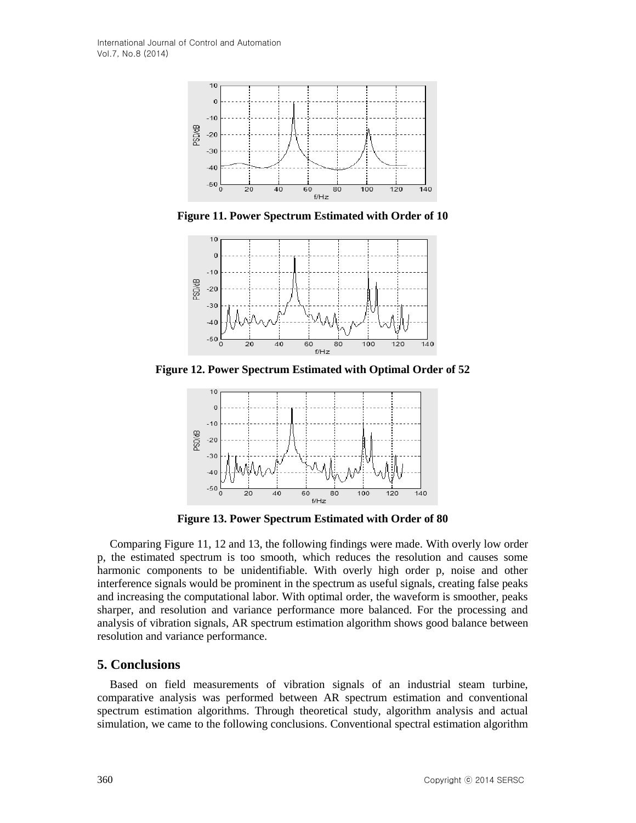

**Figure 11. Power Spectrum Estimated with Order of 10**



**Figure 12. Power Spectrum Estimated with Optimal Order of 52**



**Figure 13. Power Spectrum Estimated with Order of 80**

Comparing Figure 11, 12 and 13, the following findings were made. With overly low order p, the estimated spectrum is too smooth, which reduces the resolution and causes some harmonic components to be unidentifiable. With overly high order p, noise and other interference signals would be prominent in the spectrum as useful signals, creating false peaks and increasing the computational labor. With optimal order, the waveform is smoother, peaks sharper, and resolution and variance performance more balanced. For the processing and analysis of vibration signals, AR spectrum estimation algorithm shows good balance between resolution and variance performance.

## **5. Conclusions**

Based on field measurements of vibration signals of an industrial steam turbine, comparative analysis was performed between AR spectrum estimation and conventional spectrum estimation algorithms. Through theoretical study, algorithm analysis and actual simulation, we came to the following conclusions. Conventional spectral estimation algorithm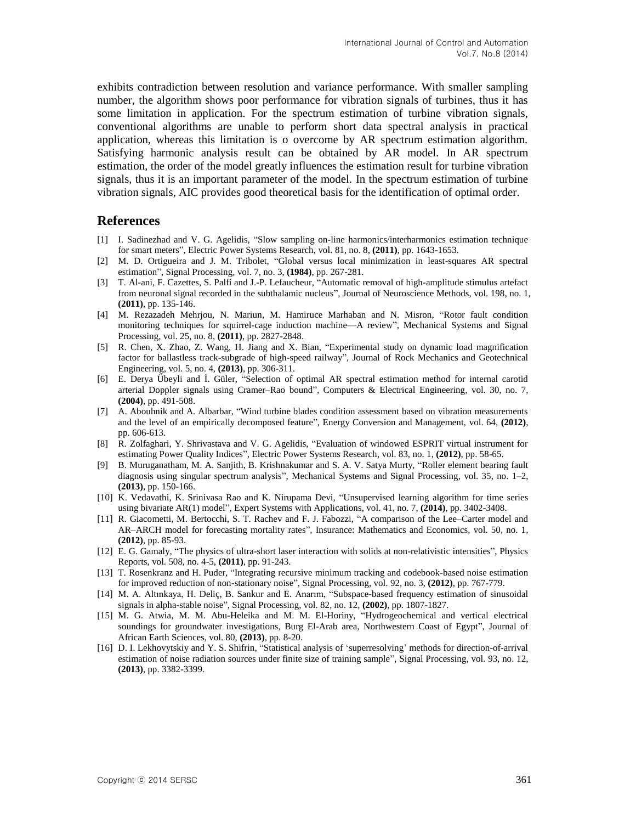exhibits contradiction between resolution and variance performance. With smaller sampling number, the algorithm shows poor performance for vibration signals of turbines, thus it has some limitation in application. For the spectrum estimation of turbine vibration signals, conventional algorithms are unable to perform short data spectral analysis in practical application, whereas this limitation is o overcome by AR spectrum estimation algorithm. Satisfying harmonic analysis result can be obtained by AR model. In AR spectrum estimation, the order of the model greatly influences the estimation result for turbine vibration signals, thus it is an important parameter of the model. In the spectrum estimation of turbine vibration signals, AIC provides good theoretical basis for the identification of optimal order.

#### **References**

- [1] I. Sadinezhad and V. G. Agelidis, "Slow sampling on-line harmonics/interharmonics estimation technique for smart meters", Electric Power Systems Research, vol. 81, no. 8, **(2011)**, pp. 1643-1653.
- [2] M. D. Ortigueira and J. M. Tribolet, "Global versus local minimization in least-squares AR spectral estimation", Signal Processing, vol. 7, no. 3, **(1984)**, pp. 267-281.
- [3] T. Al-ani, F. Cazettes, S. Palfi and J.-P. Lefaucheur, "Automatic removal of high-amplitude stimulus artefact from neuronal signal recorded in the subthalamic nucleus", Journal of Neuroscience Methods, vol. 198, no. 1, **(2011)**, pp. 135-146.
- [4] M. Rezazadeh Mehrjou, N. Mariun, M. Hamiruce Marhaban and N. Misron, "Rotor fault condition monitoring techniques for squirrel-cage induction machine—A review", Mechanical Systems and Signal Processing, vol. 25, no. 8, **(2011)**, pp. 2827-2848.
- [5] R. Chen, X. Zhao, Z. Wang, H. Jiang and X. Bian, "Experimental study on dynamic load magnification factor for ballastless track-subgrade of high-speed railway", Journal of Rock Mechanics and Geotechnical Engineering, vol. 5, no. 4, **(2013)**, pp. 306-311.
- [6] E. Derya Ü beyli and İ. Güler, "Selection of optimal AR spectral estimation method for internal carotid arterial Doppler signals using Cramer–Rao bound", Computers & Electrical Engineering, vol. 30, no. 7, **(2004)**, pp. 491-508.
- [7] A. Abouhnik and A. Albarbar, "Wind turbine blades condition assessment based on vibration measurements and the level of an empirically decomposed feature", Energy Conversion and Management, vol. 64, **(2012)**, pp. 606-613.
- [8] R. Zolfaghari, Y. Shrivastava and V. G. Agelidis, "Evaluation of windowed ESPRIT virtual instrument for estimating Power Quality Indices", Electric Power Systems Research, vol. 83, no. 1, **(2012)**, pp. 58-65.
- [9] B. Muruganatham, M. A. Sanjith, B. Krishnakumar and S. A. V. Satya Murty, "Roller element bearing fault diagnosis using singular spectrum analysis", Mechanical Systems and Signal Processing, vol. 35, no. 1–2, **(2013)**, pp. 150-166.
- [10] K. Vedavathi, K. Srinivasa Rao and K. Nirupama Devi, "Unsupervised learning algorithm for time series using bivariate AR(1) model", Expert Systems with Applications, vol. 41, no. 7, **(2014)**, pp. 3402-3408.
- [11] R. Giacometti, M. Bertocchi, S. T. Rachev and F. J. Fabozzi, "A comparison of the Lee–Carter model and AR–ARCH model for forecasting mortality rates", Insurance: Mathematics and Economics, vol. 50, no. 1, **(2012)**, pp. 85-93.
- [12] E. G. Gamaly, "The physics of ultra-short laser interaction with solids at non-relativistic intensities", Physics Reports, vol. 508, no. 4-5, **(2011)**, pp. 91-243.
- [13] T. Rosenkranz and H. Puder, "Integrating recursive minimum tracking and codebook-based noise estimation for improved reduction of non-stationary noise", Signal Processing, vol. 92, no. 3, **(2012)**, pp. 767-779.
- [14] M. A. Altınkaya, H. Deliç, B. Sankur and E. Anarım, "Subspace-based frequency estimation of sinusoidal signals in alpha-stable noise", Signal Processing, vol. 82, no. 12, **(2002)**, pp. 1807-1827.
- [15] M. G. Atwia, M. M. Abu-Heleika and M. M. El-Horiny, "Hydrogeochemical and vertical electrical soundings for groundwater investigations, Burg El-Arab area, Northwestern Coast of Egypt", Journal of African Earth Sciences, vol. 80, **(2013)**, pp. 8-20.
- [16] D. I. Lekhovytskiy and Y. S. Shifrin, "Statistical analysis of 'superresolving' methods for direction-of-arrival estimation of noise radiation sources under finite size of training sample", Signal Processing, vol. 93, no. 12, **(2013)**, pp. 3382-3399.